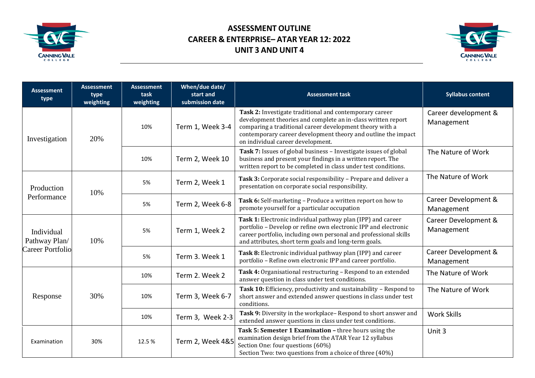

## **ASSESSMENT OUTLINE CAREER & ENTERPRISE– ATAR YEAR 12: 2022 UNIT 3 AND UNIT 4**



| <b>Assessment</b><br>type                       | <b>Assessment</b><br>type<br>weighting | <b>Assessment</b><br>task<br>weighting | When/due date/<br>start and<br>submission date | <b>Assessment task</b>                                                                                                                                                                                                                                                                    | <b>Syllabus content</b>            |
|-------------------------------------------------|----------------------------------------|----------------------------------------|------------------------------------------------|-------------------------------------------------------------------------------------------------------------------------------------------------------------------------------------------------------------------------------------------------------------------------------------------|------------------------------------|
| Investigation                                   | 20%                                    | 10%                                    | Term 1, Week 3-4                               | Task 2: Investigate traditional and contemporary career<br>development theories and complete an in-class written report<br>comparing a traditional career development theory with a<br>contemporary career development theory and outline the impact<br>on individual career development. | Career development &<br>Management |
|                                                 |                                        | 10%                                    | Term 2, Week 10                                | Task 7: Issues of global business - Investigate issues of global<br>business and present your findings in a written report. The<br>written report to be completed in class under test conditions.                                                                                         | The Nature of Work                 |
| Production<br>Performance                       | 10%                                    | 5%                                     | Term 2, Week 1                                 | Task 3: Corporate social responsibility - Prepare and deliver a<br>presentation on corporate social responsibility.                                                                                                                                                                       | The Nature of Work                 |
|                                                 |                                        | 5%                                     | Term 2, Week 6-8                               | Task 6: Self-marketing - Produce a written report on how to<br>promote yourself for a particular occupation                                                                                                                                                                               | Career Development &<br>Management |
| Individual<br>Pathway Plan/<br>Career Portfolio | 10%                                    | 5%                                     | Term 1, Week 2                                 | Task 1: Electronic individual pathway plan (IPP) and career<br>portfolio - Develop or refine own electronic IPP and electronic<br>career portfolio, including own personal and professional skills<br>and attributes, short term goals and long-term goals.                               | Career Development &<br>Management |
|                                                 |                                        | 5%                                     | Term 3. Week 1                                 | Task 8: Electronic individual pathway plan (IPP) and career<br>portfolio - Refine own electronic IPP and career portfolio.                                                                                                                                                                | Career Development &<br>Management |
| Response                                        | 30%                                    | 10%                                    | Term 2. Week 2                                 | Task 4: Organisational restructuring - Respond to an extended<br>answer question in class under test conditions.                                                                                                                                                                          | The Nature of Work                 |
|                                                 |                                        | 10%                                    | Term 3, Week 6-7                               | Task 10: Efficiency, productivity and sustainability - Respond to<br>short answer and extended answer questions in class under test<br>conditions.                                                                                                                                        | The Nature of Work                 |
|                                                 |                                        | 10%                                    | Term 3, Week 2-3                               | Task 9: Diversity in the workplace-Respond to short answer and<br>extended answer questions in class under test conditions.                                                                                                                                                               | <b>Work Skills</b>                 |
| Examination                                     | 30%                                    | 12.5%                                  | Term 2, Week 4&5                               | Task 5: Semester 1 Examination - three hours using the<br>examination design brief from the ATAR Year 12 syllabus<br>Section One: four questions (60%)<br>Section Two: two questions from a choice of three (40%)                                                                         | Unit 3                             |